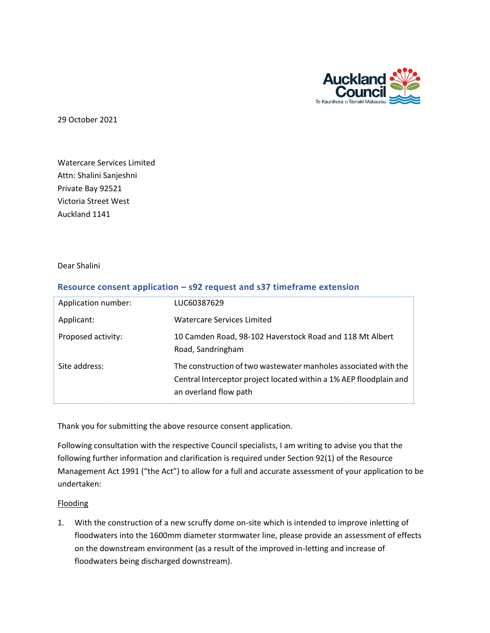

29 October 2021

Watercare Services Limited Attn: Shalini Sanjeshni Private Bay 92521 Victoria Street West Auckland 1141

Dear Shalini

## **Resource consent application – s92 request and s37 timeframe extension**

| Application number: | LUC60387629                                                                                                                                                    |
|---------------------|----------------------------------------------------------------------------------------------------------------------------------------------------------------|
| Applicant:          | <b>Watercare Services Limited</b>                                                                                                                              |
| Proposed activity:  | 10 Camden Road, 98-102 Haverstock Road and 118 Mt Albert<br>Road, Sandringham                                                                                  |
| Site address:       | The construction of two wastewater manholes associated with the<br>Central Interceptor project located within a 1% AEP floodplain and<br>an overland flow path |

Thank you for submitting the above resource consent application.

Following consultation with the respective Council specialists, I am writing to advise you that the following further information and clarification is required under Section 92(1) of the Resource Management Act 1991 ("the Act") to allow for a full and accurate assessment of your application to be undertaken:

## Flooding

1. With the construction of a new scruffy dome on-site which is intended to improve inletting of floodwaters into the 1600mm diameter stormwater line, please provide an assessment of effects on the downstream environment (as a result of the improved in-letting and increase of floodwaters being discharged downstream).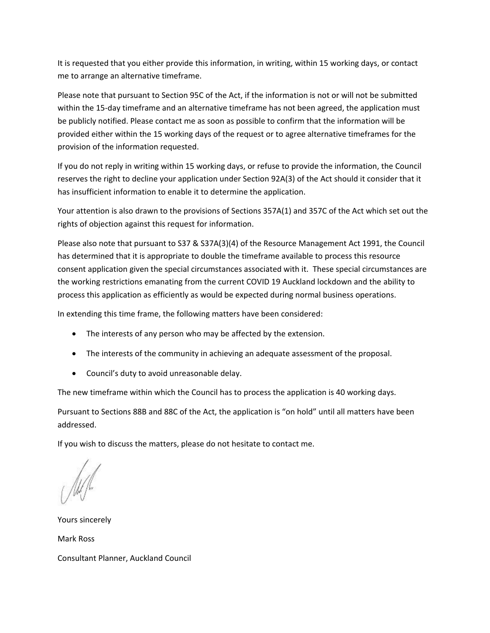It is requested that you either provide this information, in writing, within 15 working days, or contact me to arrange an alternative timeframe.

Please note that pursuant to Section 95C of the Act, if the information is not or will not be submitted within the 15-day timeframe and an alternative timeframe has not been agreed, the application must be publicly notified. Please contact me as soon as possible to confirm that the information will be provided either within the 15 working days of the request or to agree alternative timeframes for the provision of the information requested.

If you do not reply in writing within 15 working days, or refuse to provide the information, the Council reserves the right to decline your application under Section 92A(3) of the Act should it consider that it has insufficient information to enable it to determine the application.

Your attention is also drawn to the provisions of Sections 357A(1) and 357C of the Act which set out the rights of objection against this request for information.

Please also note that pursuant to S37 & S37A(3)(4) of the Resource Management Act 1991, the Council has determined that it is appropriate to double the timeframe available to process this resource consent application given the special circumstances associated with it. These special circumstances are the working restrictions emanating from the current COVID 19 Auckland lockdown and the ability to process this application as efficiently as would be expected during normal business operations.

In extending this time frame, the following matters have been considered:

- The interests of any person who may be affected by the extension.
- The interests of the community in achieving an adequate assessment of the proposal.
- Council's duty to avoid unreasonable delay.

The new timeframe within which the Council has to process the application is 40 working days.

Pursuant to Sections 88B and 88C of the Act, the application is "on hold" until all matters have been addressed.

If you wish to discuss the matters, please do not hesitate to contact me.

Yours sincerely Mark Ross Consultant Planner, Auckland Council